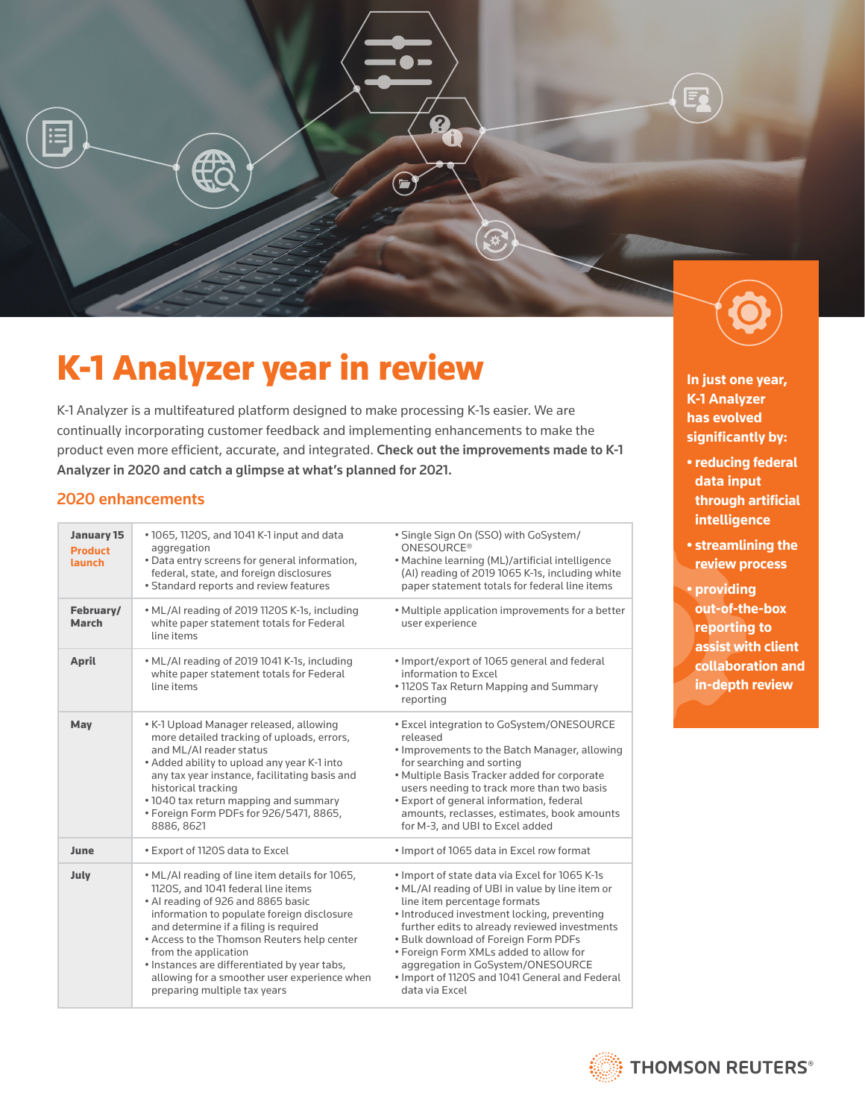

# K-1 Analyzer year in review

K-1 Analyzer is a multifeatured platform designed to make processing K-1s easier. We are continually incorporating customer feedback and implementing enhancements to make the product even more efficient, accurate, and integrated. Check out the improvements made to K-1 Analyzer in 2020 and catch a glimpse at what's planned for 2021.

#### 2020 enhancements

| <b>January 15</b><br><b>Product</b><br><b>launch</b> | • 1065, 1120S, and 1041 K-1 input and data<br>aggregation<br>. Data entry screens for general information,<br>federal, state, and foreign disclosures<br>• Standard reports and review features                                                                                                                                                                                                                          | · Single Sign On (SSO) with GoSystem/<br>ONESOURCE <sup>®</sup><br>• Machine learning (ML)/artificial intelligence<br>(AI) reading of 2019 1065 K-1s, including white<br>paper statement totals for federal line items                                                                                                                                                                                                       |
|------------------------------------------------------|--------------------------------------------------------------------------------------------------------------------------------------------------------------------------------------------------------------------------------------------------------------------------------------------------------------------------------------------------------------------------------------------------------------------------|------------------------------------------------------------------------------------------------------------------------------------------------------------------------------------------------------------------------------------------------------------------------------------------------------------------------------------------------------------------------------------------------------------------------------|
| February/<br><b>March</b>                            | • ML/AI reading of 2019 1120S K-1s, including<br>white paper statement totals for Federal<br>line items                                                                                                                                                                                                                                                                                                                  | . Multiple application improvements for a better<br>user experience                                                                                                                                                                                                                                                                                                                                                          |
| <b>April</b>                                         | • ML/AI reading of 2019 1041 K-1s, including<br>white paper statement totals for Federal<br>line items                                                                                                                                                                                                                                                                                                                   | • Import/export of 1065 general and federal<br>information to Excel<br>• 1120S Tax Return Mapping and Summary<br>reporting                                                                                                                                                                                                                                                                                                   |
| May                                                  | • K-1 Upload Manager released, allowing<br>more detailed tracking of uploads, errors,<br>and ML/AI reader status<br>• Added ability to upload any year K-1 into<br>any tax year instance, facilitating basis and<br>historical tracking<br>• 1040 tax return mapping and summary<br>. Foreign Form PDFs for 926/5471, 8865,<br>8886, 8621                                                                                | • Excel integration to GoSystem/ONESOURCE<br>released<br>. Improvements to the Batch Manager, allowing<br>for searching and sorting<br>. Multiple Basis Tracker added for corporate<br>users needing to track more than two basis<br>• Export of general information, federal<br>amounts, reclasses, estimates, book amounts<br>for M-3, and UBI to Excel added                                                              |
| June                                                 | • Export of 1120S data to Excel                                                                                                                                                                                                                                                                                                                                                                                          | . Import of 1065 data in Excel row format                                                                                                                                                                                                                                                                                                                                                                                    |
| July                                                 | . ML/AI reading of line item details for 1065,<br>1120S, and 1041 federal line items<br>• Al reading of 926 and 8865 basic<br>information to populate foreign disclosure<br>and determine if a filing is required<br>• Access to the Thomson Reuters help center<br>from the application<br>. Instances are differentiated by year tabs,<br>allowing for a smoother user experience when<br>preparing multiple tax years | . Import of state data via Excel for 1065 K-1s<br>. ML/AI reading of UBI in value by line item or<br>line item percentage formats<br>• Introduced investment locking, preventing<br>further edits to already reviewed investments<br>. Bulk download of Foreign Form PDFs<br>• Foreign Form XMLs added to allow for<br>aggregation in GoSystem/ONESOURCE<br>. Import of 1120S and 1041 General and Federal<br>data via Excel |



**K-1 Analyzer has evolved significantly by:**

- **reducing federal data input through artificial intelligence**
- **streamlining the review process**
- **providing out-of-the-box reporting to assist with client**

**collaboration and in-depth review**